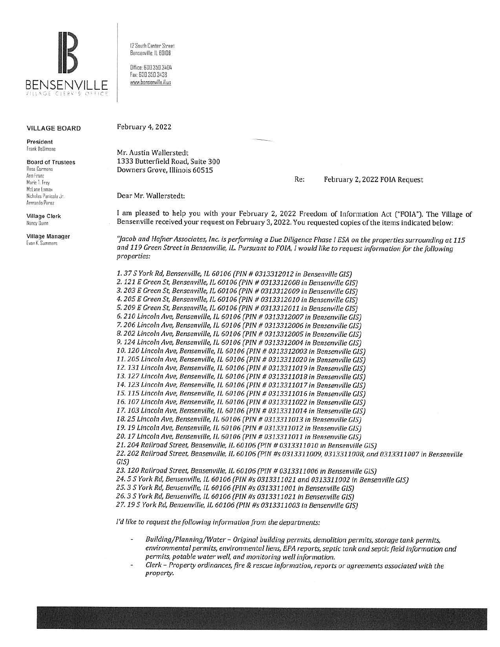

12 South Center Street Bensenville. IL 60106

Office 630.350.3404 Fax: 630.350.3438 www.bensenville.iLus

## VILLAGE BOARD

President frank OcSimane

Board of Trustees Rosa Carmana Ann Franz Marie I. Frey Mclane lama, Nicholas Panicola Jr. Armando Perez

Village Clerk Nancy **Runn** 

Village Manager [van K. Summers

February 4, 2022

Mr. Austin Wallerstedt 1333 Butterfield Road, Suite 300 Downers Grove, Illinois 60515

Re: February 2, 2022 FOIA Request

Dear Mr. Wallerstedt:

I am pleased to help you with your February 2, 2022 Freedom of Information Act ("FOIA"). The Village of Bensenville received your request on February 3, 2022. You requested copies of the items indicated below:

*"Jacob and Hefner Associates, Inc. is performing a Due Diligence Phase I ESA on the properties surrounding at 115 and 119 Green Street in Bensenville, IL. Pursuant to FOIA, I would like to request information for the following properties:* 

*1. 37 S York Rd, Bensenville, IL 60106 (PIN# 0313312012 in Bensenville GIS) 2. 121 E Green St, Bensenville, IL 60106 (PIN# 0313312008 in Bensenville GIS) 3. 203 E Green St, Bensenville, IL 60106 (PIN# 0313312009 in Bensenville GIS) 4. 205 E Green St, Bensenville, IL 60106 (PIN# 0313312010 in Bensenville GIS) 5. 209 E Green St, Bensenville, IL 60106 (PIN# 0313312011 in Bensenville GIS) 6. 210 Lincoln Ave, Bensenville, IL 60106 (PIN# 0313312007 in Bensenville GIS)*  7. *206 Lincoln Ave, Bensenville, IL 60106 (PIN# 0313312006 in Bensenville GIS} 8. 202 Lincoln Ave, Bensenville, IL 60106 (PIN# 0313312005 in Bensenville GIS}*  9. *124 Lincoln Ave, Bensenville, IL 60106 (PIN# 0313312004 in Bensenville GIS) 10. 120 Lincoln Ave, Bensenville, IL 60106 (PIN# 0313312003 in Bensenville GIS} 11. 205 Lincoln Ave, Bensenville, IL 60106 (PIN# 0313311020 in Bensenville GIS) 12. 131 Lincoln Ave, Bensenville, IL 60106 (PIN# 0313311019 in Bensenville GIS} 13. 127 Lincoln Ave, Bensenville, IL 60106 (PIN# 0313311018 in Bensenville GIS) 14. 123 Lincoln Ave, Bensenville, IL 60106 (PIN# 0313311017 in Bensenville GIS) 15. 115 Lincoln Ave, Bensenville, IL 60106 (PIN# 0313311016 in Bensenville GIS} 16. 107 Lincoln Ave, Bensenville, IL 60106 (PIN# 0313311022 in Bensenville GIS) 17. 103 Lincoln Ave, Bensenville, IL 60106 (PIN# 0313311014 in Bensenville G/S) 18. 25 Lincoln Ave, Bensenville, IL 60106 (PIN# 0313311013 in Bensenville GIS) 19. 19 Lincoln Ave, Bensenville, IL 60106 (PIN# 0313311012 in Bensenville GIS) 20. 17 Lincoln Ave, Bensenville, IL 60106 (PIN# 0313311011 in Bensenville GIS) 21. 204 Railroad Street, Bensenville, IL 60106 (PIN# 0313311010 in Bensenville GIS) 22. 202 Railroad Street, Bensenville, IL 60106 (PIN #s 0313311009, 0313311008, and 0313311007 in Bensenville GIS) 23. 120 Railroad Street, Bensenville, IL 60106 (PIN# 0313311006 in Bensenville GIS) 24. 5 S York Rd, Bensenville, IL 60106 (PIN #s 0313311021 and 0313311002 in Bensenville GIS} 25. 3 S York Rd, Bensenville, IL 60106 (PIN #s 0313311001 in Bensenville GIS) 26. 3 S York Rd, Bensenville, IL 60106 (PIN #s 0313311021 in Bensenville GIS)* 

*27. 19 S York Rd, Bensenville, IL 60106 (PIN #s 0313311003 in Bensenville GIS)* 

*I'd like to request the following information from the departments:* 

- *Building/Planning/Water Original building permits, demolition permits, storage tank permits, environmental permits, environmental liens, EPA reports, septic tank and septic field information and permits, potable water well, and monitoring well information.*
- *Clerk- Property ordinances, fire* & *rescue information, reports or agreements associated with the property.*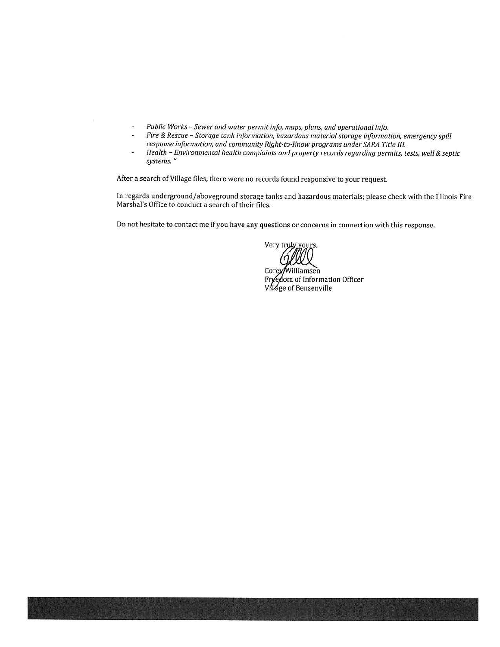- *Public Works Sewer and water permit info, maps, plans, and operational info.*   $\omega$
- *Fire* & *Rescue Storage tank information, hazardous material storage information, emergency spill response information, and community Right-to-Know programs under SARA Title Ill.*
- *Health Environmental health complaints and property records regarding permits, tests, well & septic* i. *systems."*

After a search of Village files, there were no records found responsive to your request.

In regards underground/aboveground storage tanks and hazardous materials; please check with the Illinois Fire Marshal's Office to conduct a search of their files.

Do not hesitate to contact me if you have any questions or concerns in connection with this response.

Very truly yours,

Corey/Williamsen Freedom of Information Officer VNage of Bensenville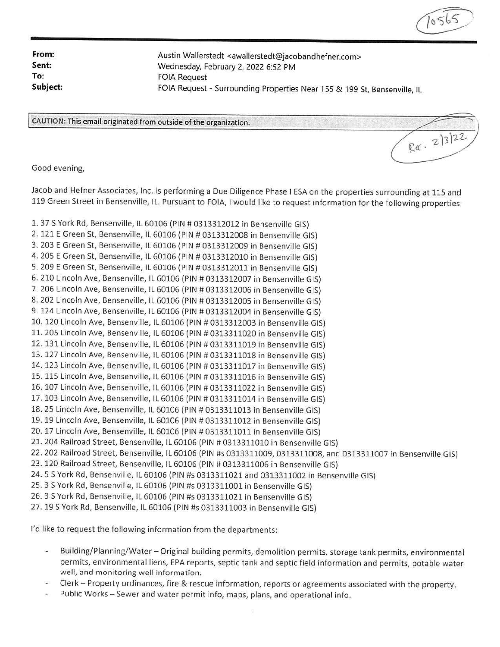**From: Sent: To:** 

Austin Wallerstedt <awallerstedt@jacobandhefner.com> Wednesday, February 2, 2022 6:52 PM FOIA Request **Subject:** FOIA Request - Surrounding Properties Near 155 & 199 St, Bensenville, IL

 $1056$ 

CAUTION: This email originated from outside of the organization.  $\frac{2}{3^{2}}$ 

Good evening,

Jacob and Hefner Associates, Inc. is performing a Due Diligence Phase I ESA on the properties surrounding at 115 and 119 Green Street in Bensenville, IL. Pursuant to FOIA, I would like to request information for the following properties:

1. 37 S York Rd, Bensenville, IL 60106 (PIN # 0313312012 in Bensenville GIS) 2. 121 E Green St, Bensenville, IL 60106 (PIN # 0313312008 in Bensenville GIS) 3. 203 E Green St, Bensenville, IL 60106 (PIN # 0313312009 in Bensenville GIS) 4. 205 E Green St, Bensenville, IL 60106 (PIN # 0313312010 in Bensenville GIS) 5. 209 E Green St, Bensenville, IL 60106 (PIN # 0313312011 in Bensenville GIS) 6. 210 Lincoln Ave, Bensenville, IL 60106 (PIN# 0313312007 in Bensenville GIS) 7. 206 Lincoln Ave, Bensenville, IL 60106 (PIN# 0313312006 in Bensenville GIS) 8. 202 Lincoln Ave, Bensenville, IL 60106 (PIN # 0313312005 in Bensenville GIS) 9. 124 Lincoln Ave, Bensenville, IL 60106 (PIN# 0313312004 in Bensenville GIS) 10. 120 Lincoln Ave, Bensenville, IL 60106 (PIN # 0313312003 in Bensenville GIS) 11. 205 Lincoln Ave, Bensenville, IL 60106 (PIN# 0313311020 in Bensenville GIS) 12. 131 Lincoln Ave, Bensenville, IL 60106 (PIN# 0313311019 in Bensenville GIS) 13. 127 Lincoln Ave, Bensenville, IL 60106 (PIN# 0313311018 in Bensenville GIS) 14. 123 Lincoln Ave, Bensenville, IL 60106 {PIN# 0313311017 in Bensenville GIS) 15. 115 Lincoln Ave, Bensenville, IL 60106 (PIN # 0313311016 in Bensenville GIS) 16. 107 Lincoln Ave, Bensenville, IL 60106 (PIN# 0313311022 in Bensenville GIS) 17. 103 Lincoln Ave, Bensenville, IL 60106 (PIN# 0313311014 in Bensenville GIS) 18. 25 Lincoln Ave, Bensenville, IL 60106 (PIN# 0313311013 in Bensenville GIS) 19. 19 Lincoln Ave, Bensenville, IL 60106 (PIN# 0313311012 in Bensenville GIS) 20. 17 Lincoln Ave, Bensenville, IL 60106 (PIN# 0313311011 in Bensenville GIS) 21. 204 Railroad Street, Bensenville, IL 60106 (PIN# 0313311010 in Bensenville GIS) 22. 202 Railroad Street, Bensenville, IL 60106 (PIN #s 0313311009, 0313311008, and 0313311007 in Bensenville GIS) 23. 120 Railroad Street, Bensenville, IL 60106 (PIN # 0313311006 in Bensenville GIS) 24. 5 S York Rd, Bensenville, IL 60106 (PIN #s 0313311021 and 0313311002 in Bensenville GIS) 25. 3 S York Rd, Bensenville, IL 60106 (PIN #s 0313311001 in Bensenville GIS) 26. 3 S York Rd, Bensenville, IL 60106 (PIN #s 0313311021 in Bensenville GIS) 27. 19 5 York Rd, Bensenville, IL 60106 (PIN #s 0313311003 in Bensenville GIS)

I'd like to request the following information from the departments:

- Building/Planning/Water-Original building permits, demolition permits, storage tank permits, environmental permits, environmental liens, EPA reports, septic tank and septic field information and permits, potable water well, and monitoring well information.
- Clerk Property ordinances, fire & rescue information, reports or agreements associated with the property.
- Public Works Sewer and water permit info, maps, plans, and operational info.